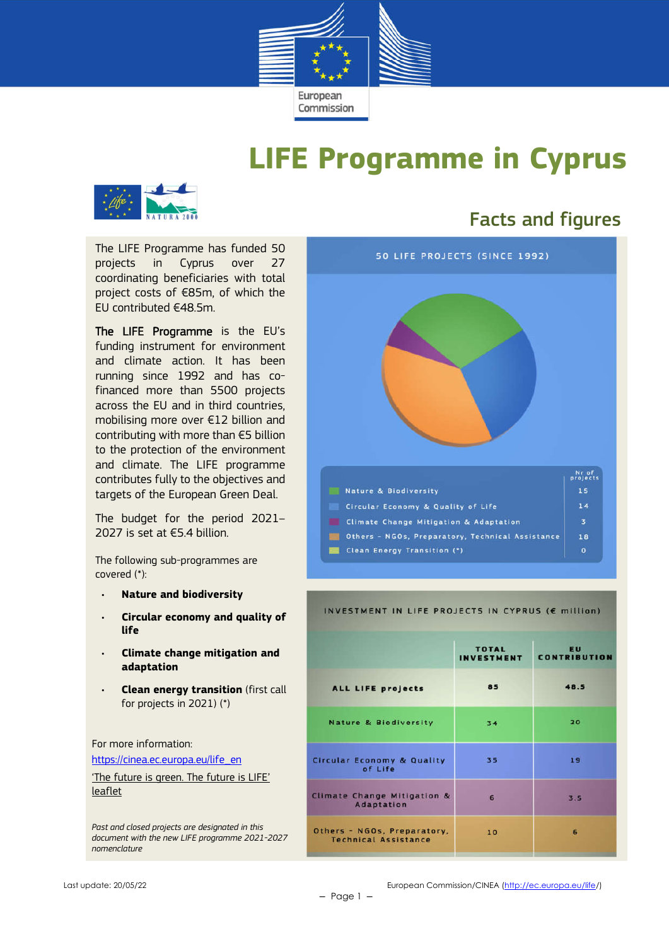

# **LIFE Programme in Cyprus**



The LIFE Programme has funded 50 projects in Cyprus over 27 coordinating beneficiaries with total project costs of €85m, of which the EU contributed €48.5m.

The LIFE Programme is the EU's funding instrument for environment and climate action. It has been running since 1992 and has cofinanced more than 5500 projects across the EU and in third countries, mobilising more over €12 billion and contributing with more than €5 billion to the protection of the environment and climate. The LIFE programme contributes fully to the objectives and targets of the European Green Deal.

The budget for the period 2021– 2027 is set at €5.4 billion.

The following sub-programmes are covered (\*):

- **Nature and biodiversity**
- **Circular economy and quality of life**
- **Climate change mitigation and adaptation**
- **Clean energy transition** (first call for projects in 2021) (\*)

For more information:

https://cinea.ec.europa.eu/life\_en

'The future is green. The future is LIFE' leaflet

*Past and closed projects are designated in this document with the new LIFE programme 2021-2027 nomenclature*

## Facts and figures



#### INVESTMENT IN LIFE PROJECTS IN CYPRUS (E million)

|                                                            | <b>TOTAL</b><br><b>INVESTMENT</b> | <b>EU</b><br><b>CONTRIBUTION</b> |
|------------------------------------------------------------|-----------------------------------|----------------------------------|
| <b>ALL LIFE projects</b>                                   | 85                                | 48.5                             |
| <b>Nature &amp; Biodiversity</b>                           | 34                                | 20                               |
| <b>Circular Economy &amp; Quality</b><br>of Life           | 35                                | 19                               |
| Climate Change Mitigation &<br>Adaptation                  | 6                                 | 3.5                              |
| Others - NGOs, Preparatory,<br><b>Technical Assistance</b> | 10                                | 6                                |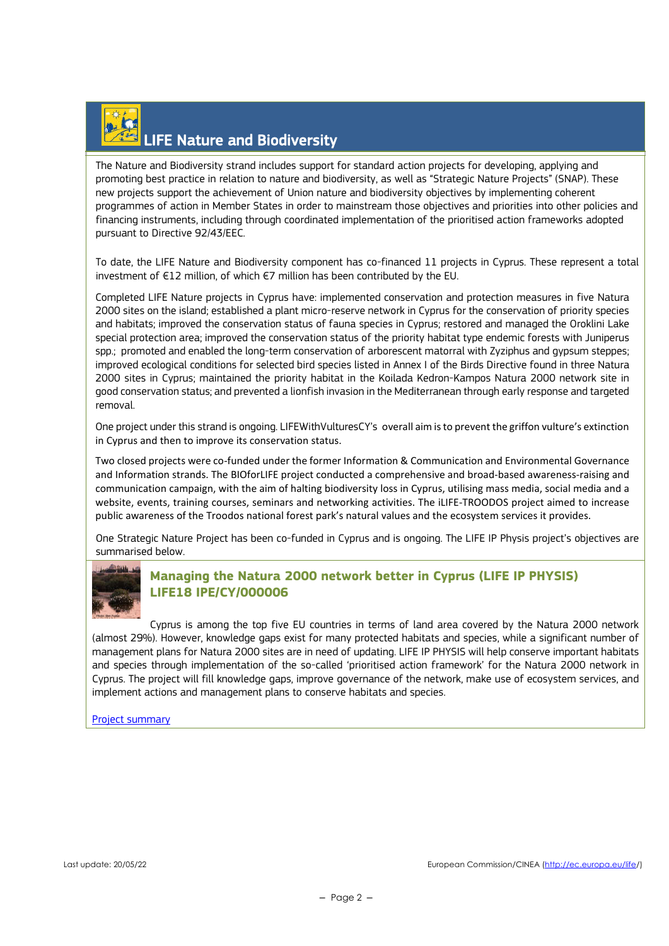# LIFE Nature and Biodiversity

The Nature and Biodiversity strand includes support for standard action projects for developing, applying and promoting best practice in relation to nature and biodiversity, as well as "Strategic Nature Projects" (SNAP). These new projects support the achievement of Union nature and biodiversity objectives by implementing coherent programmes of action in Member States in order to mainstream those objectives and priorities into other policies and financing instruments, including through coordinated implementation of the prioritised action frameworks adopted pursuant to Directive 92/43/EEC.

To date, the LIFE Nature and Biodiversity component has co-financed 11 projects in Cyprus. These represent a total investment of €12 million, of which €7 million has been contributed by the EU.

Completed LIFE Nature projects in Cyprus have: implemented conservation and protection measures in five Natura 2000 sites on the island; established a plant micro-reserve network in Cyprus for the conservation of priority species and habitats; improved the conservation status of fauna species in Cyprus; restored and managed the Oroklini Lake special protection area; improved the conservation status of the priority habitat type endemic forests with Juniperus spp.; promoted and enabled the long-term conservation of arborescent matorral with Zyziphus and gypsum steppes; improved ecological conditions for selected bird species listed in Annex I of the Birds Directive found in three Natura 2000 sites in Cyprus; maintained the priority habitat in the Koilada Kedron-Kampos Natura 2000 network site in good conservation status; and prevented a lionfish invasion in the Mediterranean through early response and targeted removal.

One project under this strand is ongoing. LIFEWithVulturesCY's overall aim is to prevent the griffon vulture's extinction in Cyprus and then to improve its conservation status.

Two closed projects were co-funded under the former Information & Communication and Environmental Governance and Information strands. The BIOforLIFE project conducted a comprehensive and broad-based awareness-raising and communication campaign, with the aim of halting biodiversity loss in Cyprus, utilising mass media, social media and a website, events, training courses, seminars and networking activities. The iLIFE-TROODOS project aimed to increase public awareness of the Troodos national forest park's natural values and the ecosystem services it provides.

One Strategic Nature Project has been co-funded in Cyprus and is ongoing. The LIFE IP Physis project's objectives are summarised below.



#### **Managing the Natura 2000 network better in Cyprus (LIFE IP PHYSIS) LIFE18 IPE/CY/000006**

Cyprus is among the top five EU countries in terms of land area covered by the Natura 2000 network (almost 29%). However, knowledge gaps exist for many protected habitats and species, while a significant number of management plans for Natura 2000 sites are in need of updating. LIFE IP PHYSIS will help conserve important habitats and species through implementation of the so-called 'prioritised action framework' for the Natura 2000 network in Cyprus. The project will fill knowledge gaps, improve governance of the network, make use of ecosystem services, and implement actions and management plans to conserve habitats and species.

#### Project summary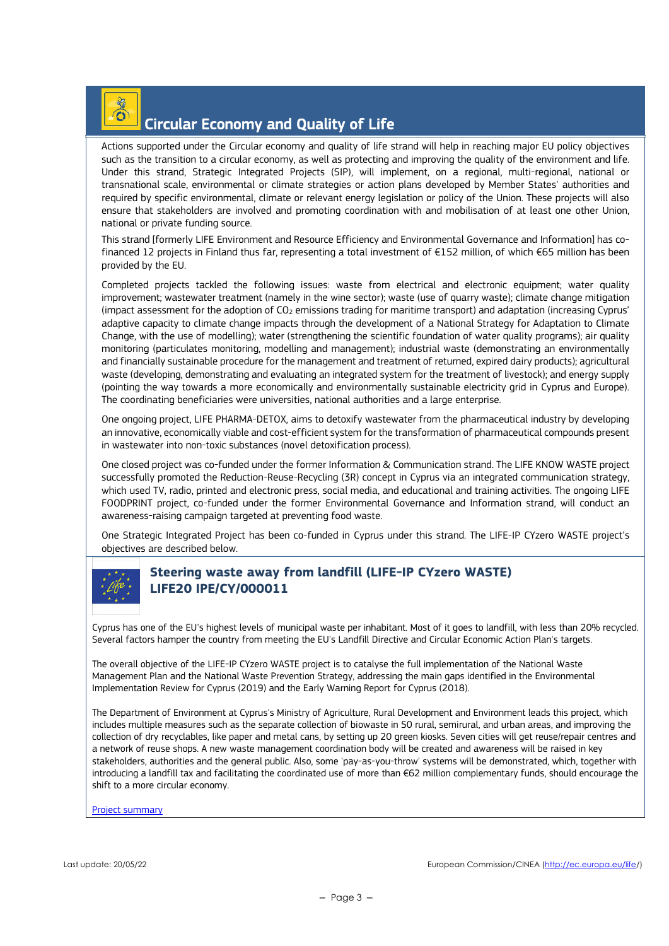### $\frac{1}{2}$ Circular Economy and Quality of Life

Actions supported under the Circular economy and quality of life strand will help in reaching major EU policy objectives such as the transition to a circular economy, as well as protecting and improving the quality of the environment and life. Under this strand, Strategic Integrated Projects (SIP), will implement, on a regional, multi-regional, national or transnational scale, environmental or climate strategies or action plans developed by Member States' authorities and required by specific environmental, climate or relevant energy legislation or policy of the Union. These projects will also ensure that stakeholders are involved and promoting coordination with and mobilisation of at least one other Union, national or private funding source.

This strand [formerly LIFE Environment and Resource Efficiency and Environmental Governance and Information] has cofinanced 12 projects in Finland thus far, representing a total investment of €152 million, of which €65 million has been provided by the EU.

Completed projects tackled the following issues: waste from electrical and electronic equipment; water quality improvement; wastewater treatment (namely in the wine sector); waste (use of quarry waste); climate change mitigation (impact assessment for the adoption of CO2 emissions trading for maritime transport) and adaptation (increasing Cyprus' adaptive capacity to climate change impacts through the development of a National Strategy for Adaptation to Climate Change, with the use of modelling); water (strengthening the scientific foundation of water quality programs); air quality monitoring (particulates monitoring, modelling and management); industrial waste (demonstrating an environmentally and financially sustainable procedure for the management and treatment of returned, expired dairy products); agricultural waste (developing, demonstrating and evaluating an integrated system for the treatment of livestock); and energy supply (pointing the way towards a more economically and environmentally sustainable electricity grid in Cyprus and Europe). The coordinating beneficiaries were universities, national authorities and a large enterprise.

One ongoing project, LIFE PHARMA-DETOX, aims to detoxify wastewater from the pharmaceutical industry by developing an innovative, economically viable and cost-efficient system for the transformation of pharmaceutical compounds present in wastewater into non-toxic substances (novel detoxification process).

One closed project was co-funded under the former Information & Communication strand. The LIFE KNOW WASTE project successfully promoted the Reduction-Reuse-Recycling (3R) concept in Cyprus via an integrated communication strategy, which used TV, radio, printed and electronic press, social media, and educational and training activities. The ongoing LIFE FOODPRINT project, co-funded under the former Environmental Governance and Information strand, will conduct an awareness-raising campaign targeted at preventing food waste.

One Strategic Integrated Project has been co-funded in Cyprus under this strand. The LIFE-IP CYzero WASTE project's objectives are described below.



#### **Steering waste away from landfill (LIFE-IP CYzero WASTE) LIFE20 IPE/CY/000011**

Cyprus has one of the EU's highest levels of municipal waste per inhabitant. Most of it goes to landfill, with less than 20% recycled. Several factors hamper the country from meeting the EU's Landfill Directive and Circular Economic Action Plan's targets.

The overall objective of the LIFE-IP CYzero WASTE project is to catalyse the full implementation of the National Waste Management Plan and the National Waste Prevention Strategy, addressing the main gaps identified in the Environmental Implementation Review for Cyprus (2019) and the Early Warning Report for Cyprus (2018).

The Department of Environment at Cyprus's Ministry of Agriculture, Rural Development and Environment leads this project, which includes multiple measures such as the separate collection of biowaste in 50 rural, semirural, and urban areas, and improving the collection of dry recyclables, like paper and metal cans, by setting up 20 green kiosks. Seven cities will get reuse/repair centres and a network of reuse shops. A new waste management coordination body will be created and awareness will be raised in key stakeholders, authorities and the general public. Also, some 'pay-as-you-throw' systems will be demonstrated, which, together with introducing a landfill tax and facilitating the coordinated use of more than €62 million complementary funds, should encourage the shift to a more circular economy.

Project summary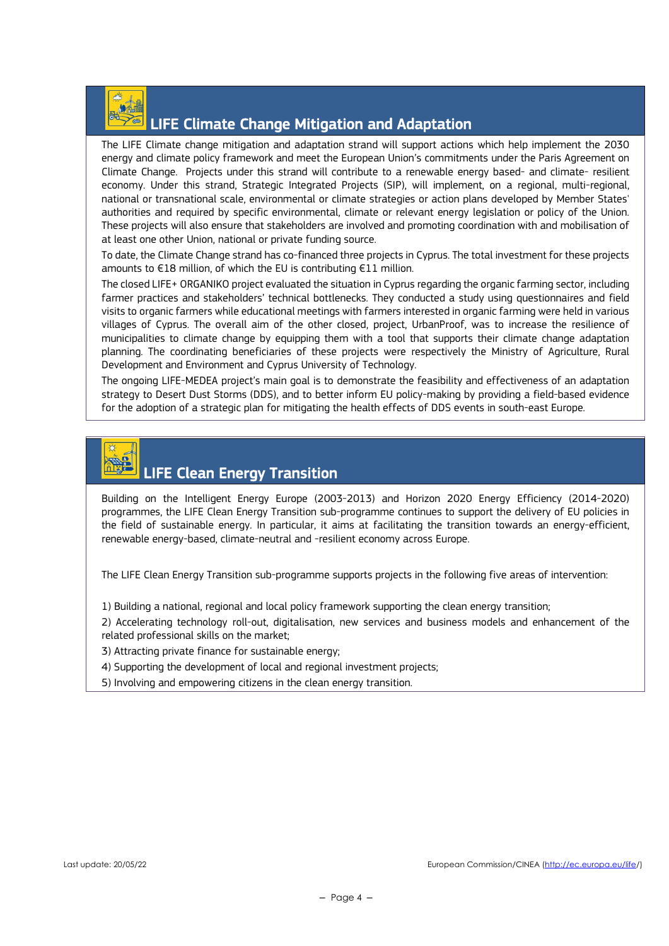

### LIFE Climate Change Mitigation and Adaptation

The LIFE Climate change mitigation and adaptation strand will support actions which help implement the 2030 energy and climate policy framework and meet the European Union's commitments under the Paris Agreement on Climate Change. Projects under this strand will contribute to a renewable energy based- and climate- resilient economy. Under this strand, Strategic Integrated Projects (SIP), will implement, on a regional, multi-regional, national or transnational scale, environmental or climate strategies or action plans developed by Member States' authorities and required by specific environmental, climate or relevant energy legislation or policy of the Union. These projects will also ensure that stakeholders are involved and promoting coordination with and mobilisation of at least one other Union, national or private funding source.

To date, the Climate Change strand has co-financed three projects in Cyprus. The total investment for these projects amounts to €18 million, of which the EU is contributing €11 million.

The closed LIFE+ ORGANIKO project evaluated the situation in Cyprus regarding the organic farming sector, including farmer practices and stakeholders' technical bottlenecks. They conducted a study using questionnaires and field visits to organic farmers while educational meetings with farmers interested in organic farming were held in various villages of Cyprus. The overall aim of the other closed, project, UrbanProof, was to increase the resilience of municipalities to climate change by equipping them with a tool that supports their climate change adaptation planning. The coordinating beneficiaries of these projects were respectively the Ministry of Agriculture, Rural Development and Environment and Cyprus University of Technology.

The ongoing LIFE-MEDEA project's main goal is to demonstrate the feasibility and effectiveness of an adaptation strategy to Desert Dust Storms (DDS), and to better inform EU policy-making by providing a field-based evidence for the adoption of a strategic plan for mitigating the health effects of DDS events in south-east Europe.



Building on the Intelligent Energy Europe (2003-2013) and Horizon 2020 Energy Efficiency (2014-2020) programmes, the LIFE Clean Energy Transition sub-programme continues to support the delivery of EU policies in the field of sustainable energy. In particular, it aims at facilitating the transition towards an energy-efficient, renewable energy-based, climate-neutral and -resilient economy across Europe.

The LIFE Clean Energy Transition sub-programme supports projects in the following five areas of intervention:

1) Building a national, regional and local policy framework supporting the clean energy transition;

2) Accelerating technology roll-out, digitalisation, new services and business models and enhancement of the related professional skills on the market;

3) Attracting private finance for sustainable energy;

4) Supporting the development of local and regional investment projects;

5) Involving and empowering citizens in the clean energy transition.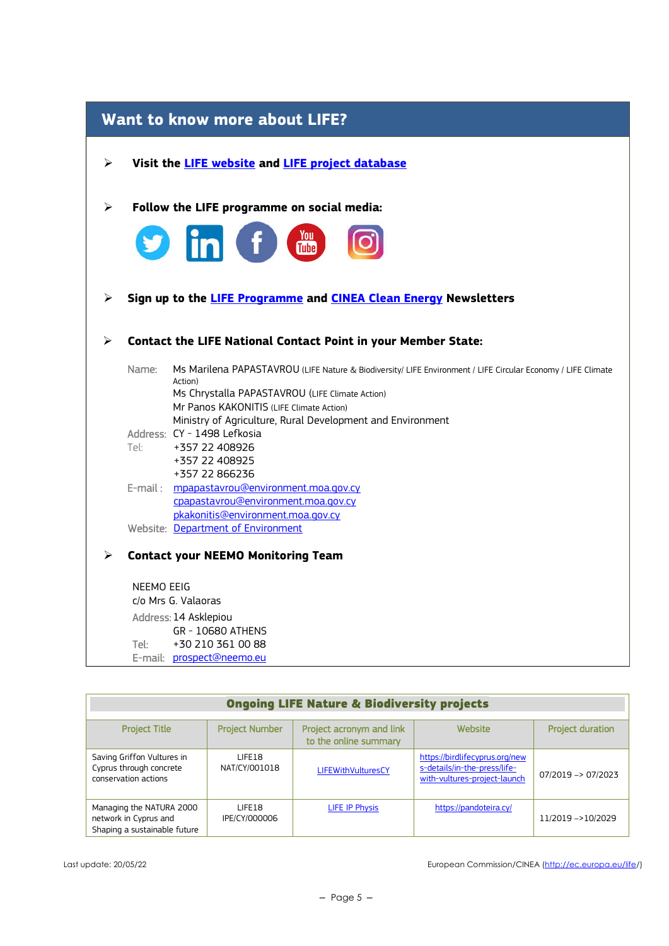| Want to know more about LIFE? |            |                                                                                                                                                                                                                                                                                      |  |
|-------------------------------|------------|--------------------------------------------------------------------------------------------------------------------------------------------------------------------------------------------------------------------------------------------------------------------------------------|--|
| ➤                             |            | Visit the <b>LIFE</b> website and <b>LIFE</b> project database                                                                                                                                                                                                                       |  |
| ➤                             |            | Follow the LIFE programme on social media:                                                                                                                                                                                                                                           |  |
| ➤                             |            | <b>in</b> f and<br>Sign up to the LIFE Programme and CINEA Clean Energy Newsletters                                                                                                                                                                                                  |  |
|                               |            |                                                                                                                                                                                                                                                                                      |  |
| ⋗                             |            | <b>Contact the LIFE National Contact Point in your Member State:</b>                                                                                                                                                                                                                 |  |
|                               | Name:      | Ms Marilena PAPASTAVROU (LIFE Nature & Biodiversity/ LIFE Environment / LIFE Circular Economy / LIFE Climate<br>Action)<br>Ms Chrystalla PAPASTAVROU (LIFE Climate Action)<br>Mr Panos KAKONITIS (LIFE Climate Action)<br>Ministry of Agriculture, Rural Development and Environment |  |
|                               |            | Address: CY - 1498 Lefkosia                                                                                                                                                                                                                                                          |  |
|                               | Tel:       | +357 22 408926<br>+357 22 408925<br>+357 22 866236                                                                                                                                                                                                                                   |  |
|                               |            | E-mail: mpapastavrou@environment.moa.gov.cy<br>cpapastavrou@environment.moa.gov.cy<br>pkakonitis@environment.moa.gov.cy                                                                                                                                                              |  |
|                               |            | Website: Department of Environment                                                                                                                                                                                                                                                   |  |
| ⋗                             |            | <b>Contact your NEEMO Monitoring Team</b>                                                                                                                                                                                                                                            |  |
|                               | NEEMO EEIG |                                                                                                                                                                                                                                                                                      |  |
|                               |            | c/o Mrs G. Valaoras                                                                                                                                                                                                                                                                  |  |
|                               |            | Address: 14 Asklepiou                                                                                                                                                                                                                                                                |  |
|                               | Tel:       | GR - 10680 ATHENS<br>+30 210 361 00 88                                                                                                                                                                                                                                               |  |
|                               |            | E-mail: prospect@neemo.eu                                                                                                                                                                                                                                                            |  |

| <b>Ongoing LIFE Nature &amp; Biodiversity projects</b>                            |                         |                                                   |                                                                                                |                         |
|-----------------------------------------------------------------------------------|-------------------------|---------------------------------------------------|------------------------------------------------------------------------------------------------|-------------------------|
| <b>Project Title</b>                                                              | <b>Project Number</b>   | Project acronym and link<br>to the online summary | Website                                                                                        | <b>Project duration</b> |
| Saving Griffon Vultures in<br>Cyprus through concrete<br>conservation actions     | LIFF18<br>NAT/CY/001018 | LIFEWithVulturesCY                                | https://birdlifecyprus.org/new<br>s-details/in-the-press/life-<br>with-vultures-project-launch | 07/2019 -> 07/2023      |
| Managing the NATURA 2000<br>network in Cyprus and<br>Shaping a sustainable future | LIFF18<br>IPE/CY/000006 | LIFE IP Physis                                    | https://pandoteira.cy/                                                                         | 11/2019 ->10/2029       |

Last update: 20/05/22 **European Commission/CINEA** (http://ec.europa.eu/life/)